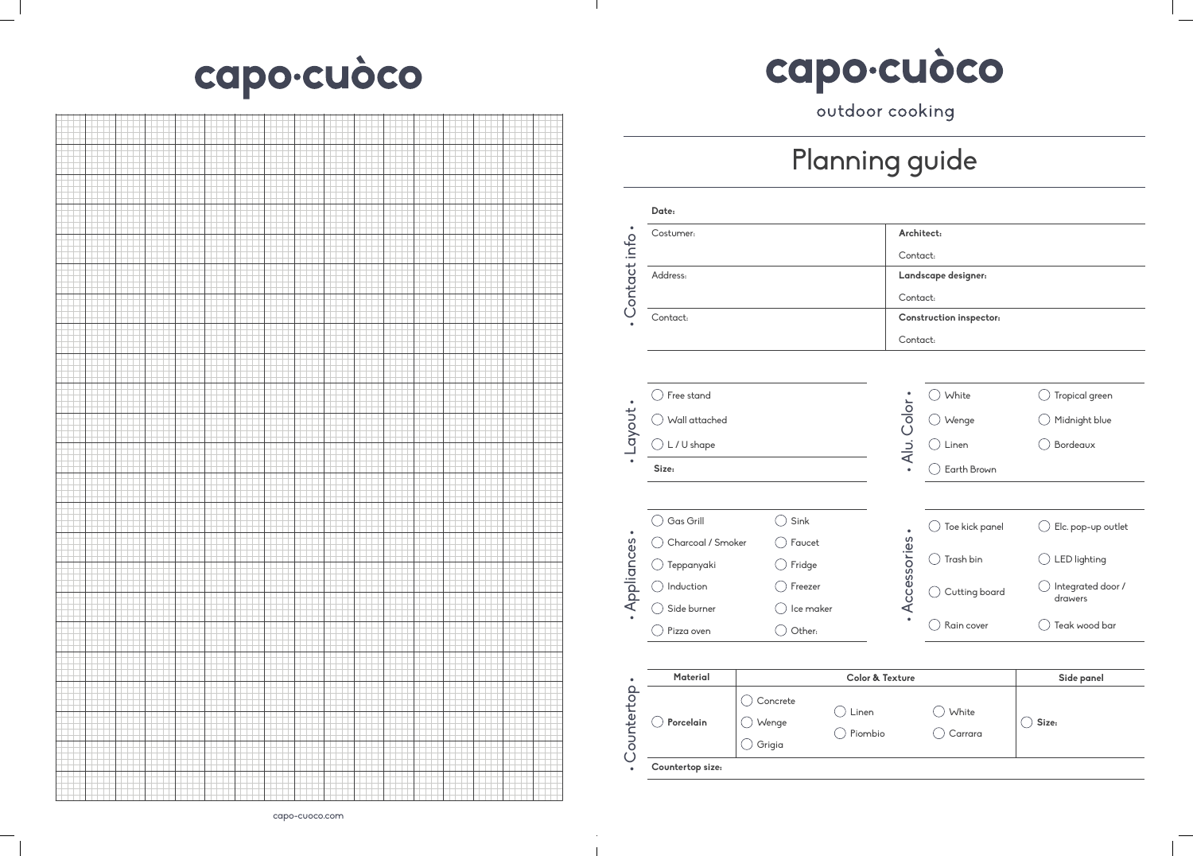## Planning guide

|                | Costumer:         |                   |                            |              | Architect:                     |                              |
|----------------|-------------------|-------------------|----------------------------|--------------|--------------------------------|------------------------------|
|                | Address:          |                   |                            | Contact:     |                                |                              |
|                |                   |                   |                            |              | Landscape designer:            |                              |
| Contact info.  | Contact:          |                   |                            | Contact:     | <b>Construction inspector:</b> |                              |
|                |                   |                   |                            | Contact:     |                                |                              |
|                |                   |                   |                            |              |                                |                              |
|                |                   |                   |                            |              |                                |                              |
|                | Free stand        |                   |                            |              | White                          | Tropical green               |
|                | Wall attached     |                   |                            |              | Wenge                          | Midnight blue                |
| · Layout ·     | L / U shape       |                   |                            | Alu. Color - | Linen                          | Bordeaux                     |
|                | Size:             |                   |                            | $\bullet$    | Earth Brown                    |                              |
|                |                   |                   |                            |              |                                |                              |
|                | Gas Grill         | Sink              |                            | $\bullet$    | Toe kick panel                 | Elc. pop-up outlet           |
|                | Charcoal / Smoker | Faucet            |                            |              |                                |                              |
|                | Teppanyaki        | Fridge            |                            |              | Trash bin                      | <b>LED</b> lighting          |
| · Appliances · | Induction         | Freezer           |                            | Accessories  | Cutting board                  | Integrated door /<br>drawers |
|                | Side burner       | Ice maker         |                            |              |                                |                              |
|                | Pizza oven        | Other:            |                            |              | Rain cover                     | $\big)$ Teak wood bar        |
|                |                   |                   |                            |              |                                |                              |
|                | <b>Material</b>   |                   | <b>Color &amp; Texture</b> |              |                                | Side panel                   |
| .Countertop.   | Porcelain         | Concrete<br>Wenge | Linen                      |              | White                          | Size:                        |
|                |                   |                   | Piombio                    |              | Carrara                        |                              |

| Architect:                     |
|--------------------------------|
| Contact:                       |
| Landscape designer:            |
| Contact:                       |
| <b>Construction inspector:</b> |
| Contact:                       |
|                                |

|               | White          | Tropical green               |
|---------------|----------------|------------------------------|
|               | Wenge          | Midnight blue                |
| . Alu. Color. | Linen          | Bordeaux                     |
|               | Earth Brown    |                              |
|               |                |                              |
|               | Toe kick panel | Elc. pop-up outlet           |
|               | Trash bin      | <b>LED</b> lighting          |
| Accessories . | Cutting board  | Integrated door /<br>drawers |
|               | Rain cover     | Teak wood bar                |
|               |                |                              |

## capo-cuòco



## capo-cuòco outdoor cooking

 $\mathbb{R}$ 

 $\mathcal{A}$